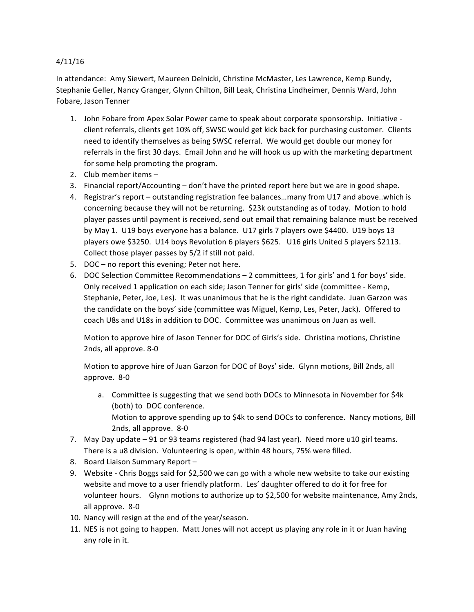## 4/11/16

In attendance: Amy Siewert, Maureen Delnicki, Christine McMaster, Les Lawrence, Kemp Bundy, Stephanie Geller, Nancy Granger, Glynn Chilton, Bill Leak, Christina Lindheimer, Dennis Ward, John Fobare, Jason Tenner

- 1. John Fobare from Apex Solar Power came to speak about corporate sponsorship. Initiative client referrals, clients get 10% off, SWSC would get kick back for purchasing customer. Clients need to identify themselves as being SWSC referral. We would get double our money for referrals in the first 30 days. Email John and he will hook us up with the marketing department for some help promoting the program.
- 2. Club member items  $-$
- 3. Financial report/Accounting  $-$  don't have the printed report here but we are in good shape.
- 4. Registrar's report outstanding registration fee balances...many from U17 and above..which is concerning because they will not be returning. \$23k outstanding as of today. Motion to hold player passes until payment is received, send out email that remaining balance must be received by May 1. U19 boys everyone has a balance. U17 girls 7 players owe \$4400. U19 boys 13 players owe \$3250. U14 boys Revolution 6 players \$625. U16 girls United 5 players \$2113. Collect those player passes by 5/2 if still not paid.
- 5. DOC no report this evening; Peter not here.
- 6. DOC Selection Committee Recommendations 2 committees, 1 for girls' and 1 for boys' side. Only received 1 application on each side; Jason Tenner for girls' side (committee - Kemp, Stephanie, Peter, Joe, Les). It was unanimous that he is the right candidate. Juan Garzon was the candidate on the boys' side (committee was Miguel, Kemp, Les, Peter, Jack). Offered to coach U8s and U18s in addition to DOC. Committee was unanimous on Juan as well.

Motion to approve hire of Jason Tenner for DOC of Girls's side. Christina motions, Christine 2nds, all approve. 8-0

Motion to approve hire of Juan Garzon for DOC of Boys' side. Glynn motions, Bill 2nds, all approve. 8-0

- a. Committee is suggesting that we send both DOCs to Minnesota in November for \$4k (both) to DOC conference. Motion to approve spending up to \$4k to send DOCs to conference. Nancy motions, Bill 2nds, all approve. 8-0
- 7. May Day update 91 or 93 teams registered (had 94 last year). Need more u10 girl teams. There is a u8 division. Volunteering is open, within 48 hours, 75% were filled.
- 8. Board Liaison Summary Report -
- 9. Website Chris Boggs said for \$2,500 we can go with a whole new website to take our existing website and move to a user friendly platform. Les' daughter offered to do it for free for volunteer hours. Glynn motions to authorize up to \$2,500 for website maintenance, Amy 2nds, all approve. 8-0
- 10. Nancy will resign at the end of the year/season.
- 11. NES is not going to happen. Matt Jones will not accept us playing any role in it or Juan having any role in it.